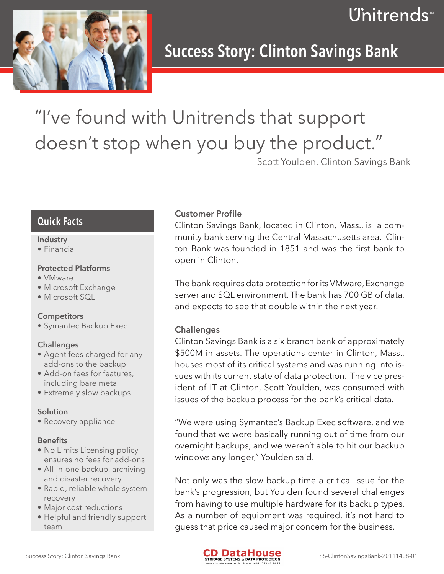



## Success Story: Clinton Savings Bank

# "I've found with Unitrends that support doesn't stop when you buy the product."

Scott Youlden, Clinton Savings Bank

### Quick Facts

#### Industry

• Financial

#### Protected Platforms

- VMware
- • Microsoft Exchange
- Microsoft SOI

#### **Competitors**

• Symantec Backup Exec

#### **Challenges**

- Agent fees charged for any add-ons to the backup
- Add-on fees for features, including bare metal
- Extremely slow backups

#### Solution

• Recovery appliance

#### **Benefits**

- No Limits Licensing policy ensures no fees for add-ons
- All-in-one backup, archiving and disaster recovery
- Rapid, reliable whole system recovery
- Major cost reductions
- Helpful and friendly support team

#### Customer Profile

Clinton Savings Bank, located in Clinton, Mass., is a community bank serving the Central Massachusetts area. Clinton Bank was founded in 1851 and was the first bank to open in Clinton.

The bank requires data protection for its VMware, Exchange server and SQL environment. The bank has 700 GB of data, and expects to see that double within the next year.

#### **Challenges**

Clinton Savings Bank is a six branch bank of approximately \$500M in assets. The operations center in Clinton, Mass., houses most of its critical systems and was running into issues with its current state of data protection. The vice president of IT at Clinton, Scott Youlden, was consumed with issues of the backup process for the bank's critical data.

"We were using Symantec's Backup Exec software, and we found that we were basically running out of time from our overnight backups, and we weren't able to hit our backup windows any longer," Youlden said.

Not only was the slow backup time a critical issue for the bank's progression, but Youlden found several challenges from having to use multiple hardware for its backup types. As a number of equipment was required, it's not hard to guess that price caused major concern for the business.